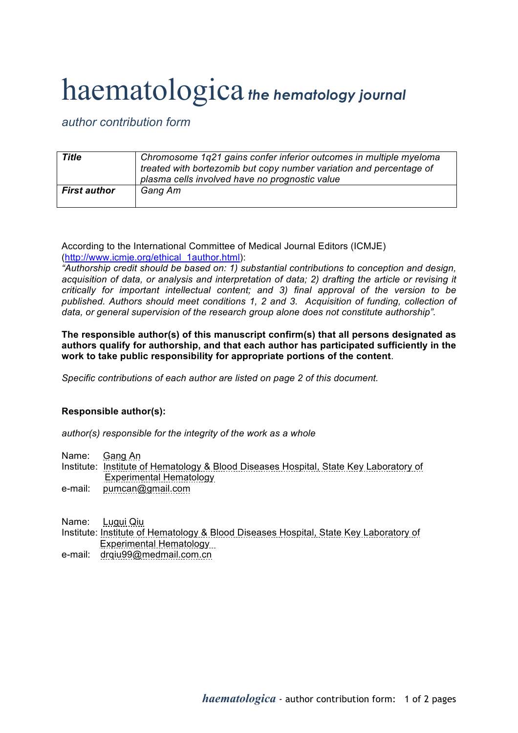## haematologica *the hematology journal*

## *author contribution form*

| Title               | Chromosome 1q21 gains confer inferior outcomes in multiple myeloma<br>treated with bortezomib but copy number variation and percentage of<br>plasma cells involved have no prognostic value |
|---------------------|---------------------------------------------------------------------------------------------------------------------------------------------------------------------------------------------|
| <b>First author</b> | Gang Am                                                                                                                                                                                     |

According to the International Committee of Medical Journal Editors (ICMJE) (http://www.icmje.org/ethical\_1author.html):

*"Authorship credit should be based on: 1) substantial contributions to conception and design, acquisition of data, or analysis and interpretation of data; 2) drafting the article or revising it critically for important intellectual content; and 3) final approval of the version to be*  published. Authors should meet conditions 1, 2 and 3. Acquisition of funding, collection of *data, or general supervision of the research group alone does not constitute authorship".*

**The responsible author(s) of this manuscript confirm(s) that all persons designated as authors qualify for authorship, and that each author has participated sufficiently in the work to take public responsibility for appropriate portions of the content**.

*Specific contributions of each author are listed on page 2 of this document.*

## **Responsible author(s):**

*author(s) responsible for the integrity of the work as a whole*

Name: Gang An

- Institute: Institute of Hematology & Blood Diseases Hospital, State Key Laboratory of Experimental Hematology
- e-mail: pumcan@gmail.com

Name: Lugui Qiu

- Institute: Institute of Hematology & Blood Diseases Hospital, State Key Laboratory of Experimental Hematology
- e-mail: drqiu99@medmail.com.cn